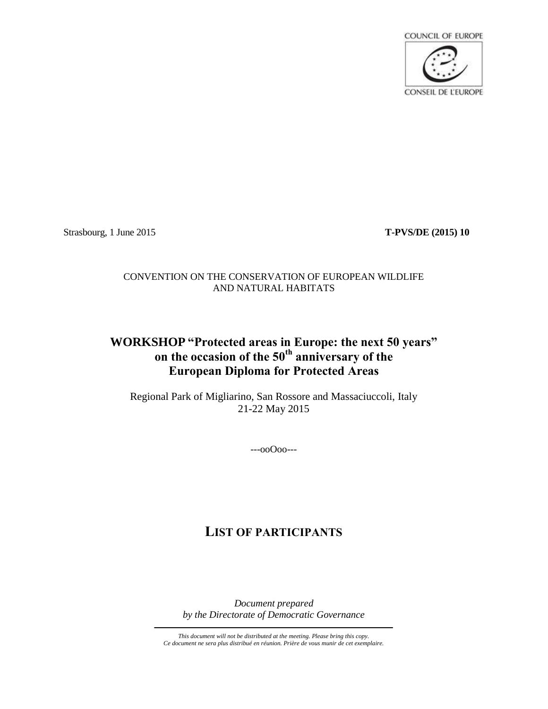

Strasbourg, 1 June 2015 **T-PVS/DE (2015) 10**

## CONVENTION ON THE CONSERVATION OF EUROPEAN WILDLIFE AND NATURAL HABITATS

## **WORKSHOP "Protected areas in Europe: the next 50 years" on the occasion of the 50th anniversary of the European Diploma for Protected Areas**

Regional Park of Migliarino, San Rossore and Massaciuccoli, Italy 21-22 May 2015

---ooOoo---

# **LIST OF PARTICIPANTS**

*Document prepared by the Directorate of Democratic Governance*

*This document will not be distributed at the meeting. Please bring this copy. Ce document ne sera plus distribué en réunion. Prière de vous munir de cet exemplaire.*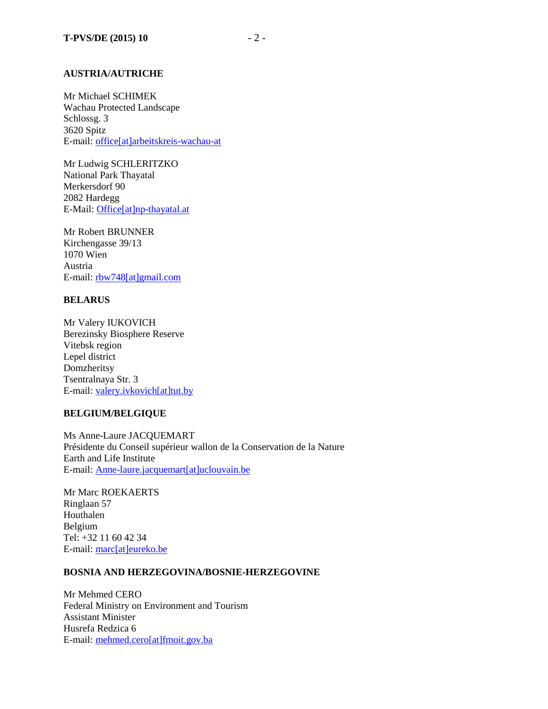#### **AUSTRIA/AUTRICHE**

Mr Michael SCHIMEK Wachau Protected Landscape Schlossg. 3 3620 Spitz E-mail[: office\[at\]arbeitskreis-wachau-at](mailto:office@arbeitskreis-wachau-at)

Mr Ludwig SCHLERITZKO National Park Thayatal Merkersdorf 90 2082 Hardegg E-Mail: [Office\[at\]np-thayatal.at](mailto:Office@np-thayatal.at)

Mr Robert BRUNNER Kirchengasse 39/13 1070 Wien Austria E-mail: [rbw748\[at\]gmail.com](mailto:rbw748@gmail.com)

## **BELARUS**

Mr Valery IUKOVICH Berezinsky Biosphere Reserve Vitebsk region Lepel district Domzheritsy Tsentralnaya Str. 3 E-mail: [valery.ivkovich\[at\]tut.by](mailto:valery.ivkovich@tut.by)

## **BELGIUM/BELGIQUE**

Ms Anne-Laure JACQUEMART Présidente du Conseil supérieur wallon de la Conservation de la Nature Earth and Life Institute E-mail: [Anne-laure.jacquemart\[at\]uclouvain.be](mailto:Anne-laure.jacquemart@uclouvain.be)

Mr Marc ROEKAERTS Ringlaan 57 Houthalen Belgium Tel: +32 11 60 42 34 E-mail: [marc\[at\]eureko.be](mailto:marc@eureko.be)

#### **BOSNIA AND HERZEGOVINA/BOSNIE-HERZEGOVINE**

Mr Mehmed CERO Federal Ministry on Environment and Tourism Assistant Minister Husrefa Redzica 6 E-mail: [mehmed.cero\[at\]fmoit.gov.ba](mailto:mehmed.cero@fmoit.gov.ba)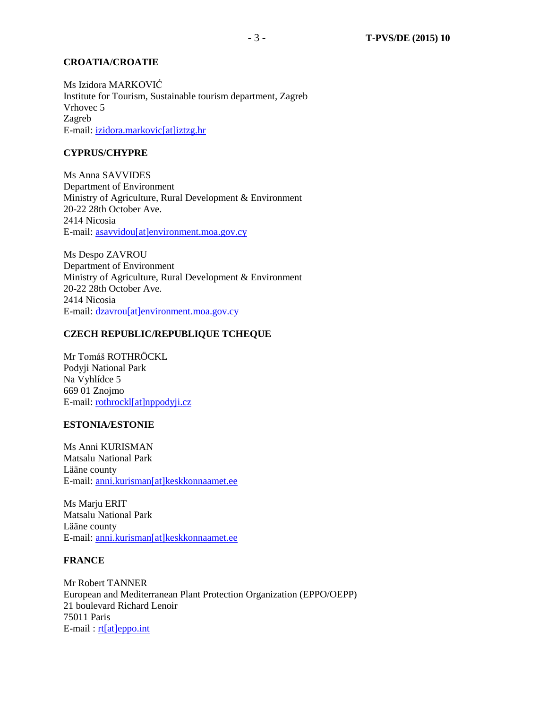#### **CROATIA/CROATIE**

Ms Izidora MARKOVIĆ Institute for Tourism, Sustainable tourism department, Zagreb Vrhovec 5 Zagreb E-mail: [izidora.markovic\[at\]iztzg.hr](mailto:izidora.markovic[at]iztzg.hr)

## **CYPRUS/CHYPRE**

Ms Anna SAVVIDES Department of Environment Ministry of Agriculture, Rural Development & Environment 20-22 28th October Ave. 2414 Nicosia E-mail: [asavvidou\[at\]environment.moa.gov.cy](mailto:asavvidou@environment.moa.gov.cy)

Ms Despo ZAVROU Department of Environment Ministry of Agriculture, Rural Development & Environment 20-22 28th October Ave. 2414 Nicosia E-mail: [dzavrou\[at\]environment.moa.gov.cy](mailto:dzavrou@environment.moa.gov.cy)

#### **CZECH REPUBLIC/REPUBLIQUE TCHEQUE**

Mr Tomáš ROTHRÖCKL Podyji National Park Na Vyhlídce 5 669 01 Znojmo E-mail: [rothrockl\[at\]nppodyji.cz](mailto:rothrockl@nppodyji.cz)

#### **ESTONIA/ESTONIE**

Ms Anni KURISMAN Matsalu National Park Lääne county E-mail: [anni.kurisman\[at\]keskkonnaamet.ee](mailto:anni.kurisman@keskkonnaamet.ee)

Ms Mariu ERIT Matsalu National Park Lääne county E-mail: [anni.kurisman\[at\]keskkonnaamet.ee](mailto:anni.kurisman@keskkonnaamet.ee)

## **FRANCE**

Mr Robert TANNER European and Mediterranean Plant Protection Organization (EPPO/OEPP) 21 boulevard Richard Lenoir 75011 Paris E-mail: [rt\[at\]eppo.int](mailto:rt@eppo.int)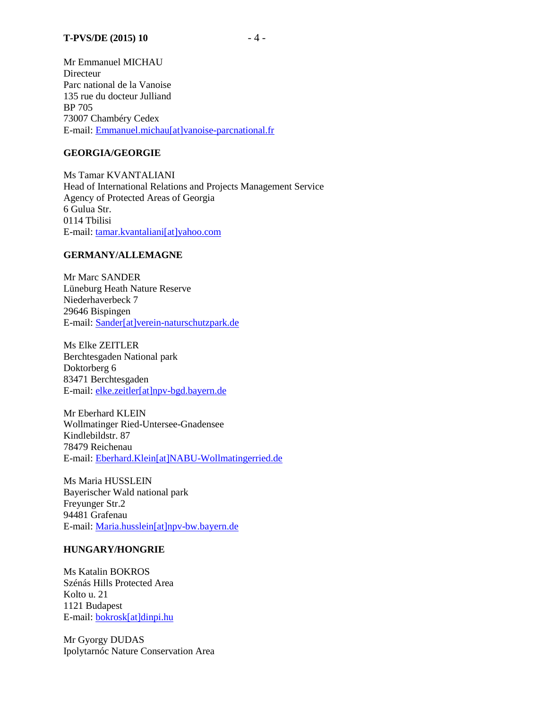Mr Emmanuel MICHAU **Directeur** Parc national de la Vanoise 135 rue du docteur Julliand BP 705 73007 Chambéry Cedex E-mail: [Emmanuel.michau\[at\]vanoise-parcnational.fr](mailto:Emmanuel.michau@vanoise-parcnational.fr)

## **GEORGIA/GEORGIE**

Ms Tamar KVANTALIANI Head of International Relations and Projects Management Service Agency of Protected Areas of Georgia 6 Gulua Str. 0114 Tbilisi E-mail: tamar.kvantaliani[at]yahoo.com

#### **GERMANY/ALLEMAGNE**

Mr Marc SANDER Lüneburg Heath Nature Reserve Niederhaverbeck 7 29646 Bispingen E-mail: [Sander\[at\]verein-naturschutzpark.de](mailto:Sander@verein-naturschutzpark.de)

Ms Elke ZEITLER Berchtesgaden National park Doktorberg 6 83471 Berchtesgaden E-mail: [elke.zeitler\[at\]npv-bgd.bayern.de](mailto:elke.zeitler@npv-bgd.bayern.de)

Mr Eberhard KLEIN Wollmatinger Ried-Untersee-Gnadensee Kindlebildstr. 87 78479 Reichenau E-mail: [Eberhard.Klein\[at\]NABU-Wollmatingerried.de](mailto:Eberhard.Klein@NABU-Wollmatingerried.de)

Ms Maria HUSSLEIN Bayerischer Wald national park Freyunger Str.2 94481 Grafenau E-mail: [Maria.husslein\[at\]npv-bw.bayern.de](mailto:Maria.husslein@npv-bw.bayern.de)

#### **HUNGARY/HONGRIE**

Ms Katalin BOKROS Szénás Hills Protected Area Kolto u. 21 1121 Budapest E-mail: [bokrosk\[at\]dinpi.hu](mailto:bokrosk@dinpi.hu)

Mr Gyorgy DUDAS Ipolytarnóc Nature Conservation Area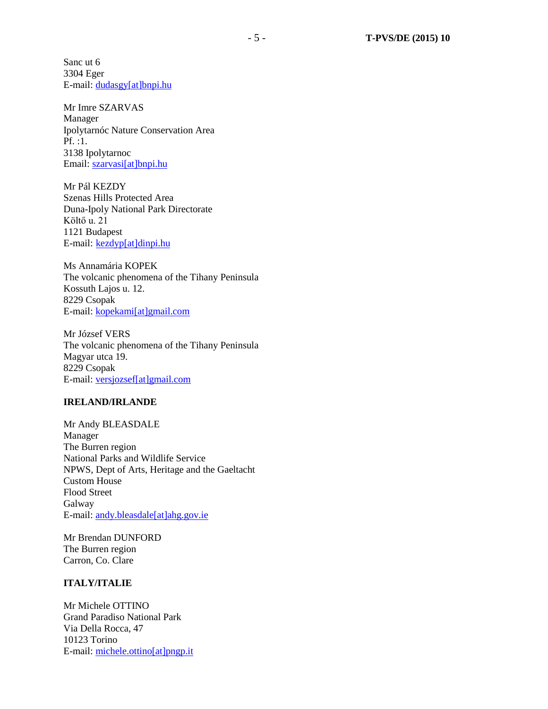Sanc ut 6 3304 Eger E-mail: [dudasgy\[at\]bnpi.hu](mailto:dudasgy@bnpi.hu)

## Mr Imre SZARVAS Manager Ipolytarnóc Nature Conservation Area Pf. :1. 3138 Ipolytarnoc Email: [szarvasi\[at\]bnpi.hu](mailto:szarvasi@bnpi.hu)

Mr Pál KEZDY Szenas Hills Protected Area Duna-Ipoly National Park Directorate Költő u. 21 1121 Budapest E-mail: [kezdyp\[at\]dinpi.hu](mailto:kezdyp@dinpi.hu)

Ms Annamária KOPEK The volcanic phenomena of the Tihany Peninsula Kossuth Lajos u. 12. 8229 Csopak E-mail: [kopekami\[at\]gmail.com](mailto:kopekami@gmail.com)

Mr József VERS The volcanic phenomena of the Tihany Peninsula Magyar utca 19. 8229 Csopak E-mail: [versjozsef\[at\]gmail.com](mailto:versjozsef@gmail.com)

#### **IRELAND/IRLANDE**

Mr Andy BLEASDALE Manager The Burren region National Parks and Wildlife Service NPWS, Dept of Arts, Heritage and the Gaeltacht Custom House Flood Street Galway E-mail: [andy.bleasdale\[at\]ahg.gov.ie](mailto:andy.bleasdale@ahg.gov.ie)

Mr Brendan DUNFORD The Burren region Carron, Co. Clare

#### **ITALY/ITALIE**

Mr Michele OTTINO Grand Paradiso National Park Via Della Rocca, 47 10123 Torino E-mail: michele.ottino[at]pngp.it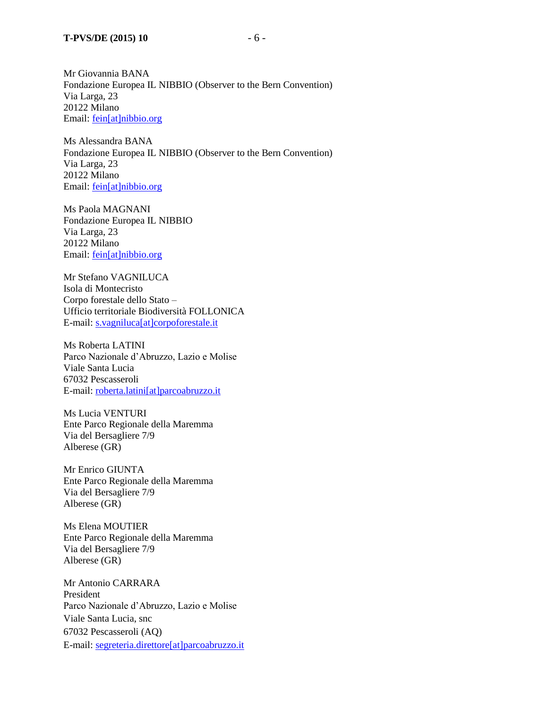Mr Giovannia BANA Fondazione Europea IL NIBBIO (Observer to the Bern Convention) Via Larga, 23 20122 Milano Email: [fein\[at\]nibbio.org](mailto:fein@nibbio.org)

Ms Alessandra BANA Fondazione Europea IL NIBBIO (Observer to the Bern Convention) Via Larga, 23 20122 Milano Email: [fein\[at\]nibbio.org](mailto:fein@nibbio.org)

Ms Paola MAGNANI Fondazione Europea IL NIBBIO Via Larga, 23 20122 Milano Email: [fein\[at\]nibbio.org](mailto:fein@nibbio.org)

Mr Stefano VAGNILUCA Isola di Montecristo Corpo forestale dello Stato – Ufficio territoriale Biodiversità FOLLONICA E-mail: s.vagniluca[at]corpoforestale.it

Ms Roberta LATINI Parco Nazionale d'Abruzzo, Lazio e Molise Viale Santa Lucia 67032 Pescasseroli E-mail: roberta.latini[at]parcoabruzzo.it

Ms Lucia VENTURI Ente Parco Regionale della Maremma Via del Bersagliere 7/9 Alberese (GR)

Mr Enrico GIUNTA Ente Parco Regionale della Maremma Via del Bersagliere 7/9 Alberese (GR)

Ms Elena MOUTIER Ente Parco Regionale della Maremma Via del Bersagliere 7/9 Alberese (GR)

Mr Antonio CARRARA President Parco Nazionale d'Abruzzo, Lazio e Molise Viale Santa Lucia, snc 67032 Pescasseroli (AQ) E-mail: segreteria.direttore[at]parcoabruzzo.it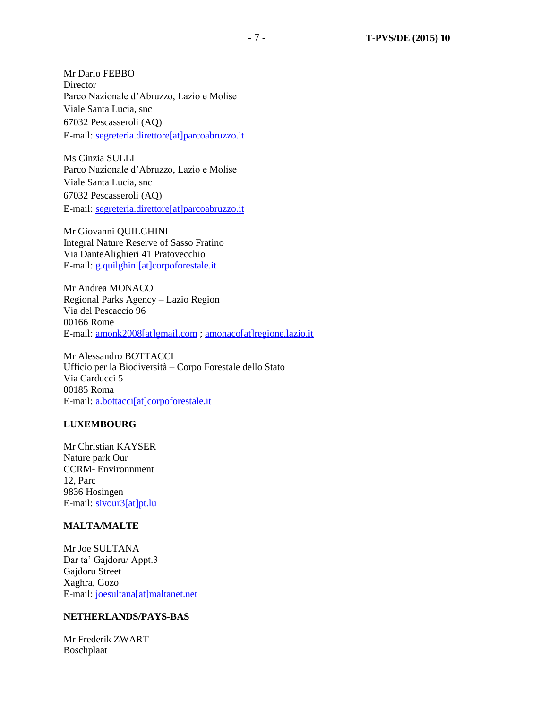Mr Dario FEBBO Director Parco Nazionale d'Abruzzo, Lazio e Molise Viale Santa Lucia, snc 67032 Pescasseroli (AQ) E-mail: segreteria.direttore[at]parcoabruzzo.it

Ms Cinzia SULLI Parco Nazionale d'Abruzzo, Lazio e Molise Viale Santa Lucia, snc 67032 Pescasseroli (AQ) E-mail: segreteria.direttore[at]parcoabruzzo.it

Mr Giovanni QUILGHINI Integral Nature Reserve of Sasso Fratino Via DanteAlighieri 41 Pratovecchio E-mail: g.quilghini[at]corpoforestale.it

Mr Andrea MONACO Regional Parks Agency – Lazio Region Via del Pescaccio 96 00166 Rome E-mail: [amonk2008\[at\]gmail.com](mailto:amonk2008[at]gmail.com) ; [amonaco\[at\]regione.lazio.it](mailto:amonaco@regione.lazio.it)

Mr Alessandro BOTTACCI Ufficio per la Biodiversità – Corpo Forestale dello Stato Via Carducci 5 00185 Roma E-mail: [a.bottacci\[at\]corpoforestale.it](mailto:a.bottacci@corpoforestale.it)

## **LUXEMBOURG**

Mr Christian KAYSER Nature park Our CCRM- Environnment 12, Parc 9836 Hosingen E-mail: [sivour3\[at\]pt.lu](mailto:sivour3@pt.lu)

#### **MALTA/MALTE**

Mr Joe SULTANA Dar ta' Gajdoru/ Appt.3 Gajdoru Street Xaghra, Gozo E-mail: joesultana[at]maltanet.net

#### **NETHERLANDS/PAYS-BAS**

Mr Frederik ZWART Boschplaat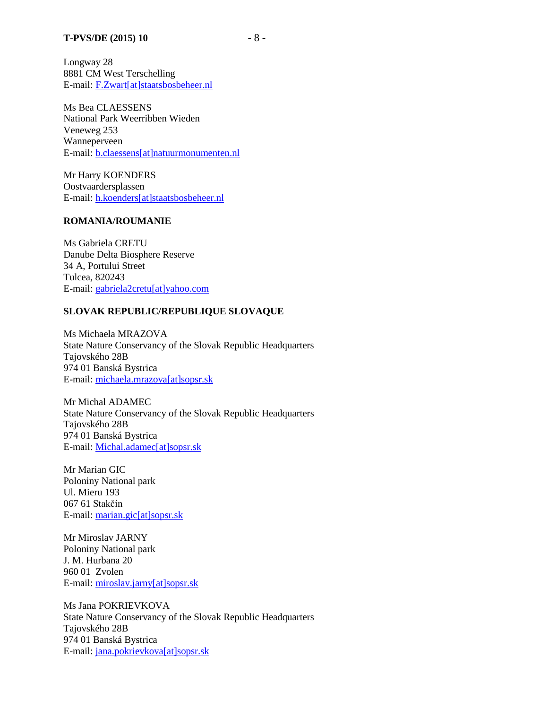Longway 28 8881 CM West Terschelling E-mail: F.Zwart[at]staatsbosbeheer.nl

Ms Bea CLAESSENS National Park Weerribben Wieden Veneweg 253 Wanneperveen E-mail: b.claessens[at]natuurmonumenten.nl

Mr Harry KOENDERS Oostvaardersplassen E-mail: h.koenders[at]staatsbosbeheer.nl

#### **ROMANIA/ROUMANIE**

Ms Gabriela CRETU Danube Delta Biosphere Reserve 34 A, Portului Street Tulcea, 820243 E-mail: [gabriela2cretu\[at\]yahoo.com](mailto:gabriela2cretu@yahoo.com) 

#### **SLOVAK REPUBLIC/REPUBLIQUE SLOVAQUE**

Ms Michaela MRAZOVA State Nature Conservancy of the Slovak Republic Headquarters Tajovského 28B 974 01 Banská Bystrica E-mail: [michaela.mrazova\[at\]sopsr.sk](mailto:michaela.mrazova@sopsr.sk)

Mr Michal ADAMEC State Nature Conservancy of the Slovak Republic Headquarters Tajovského 28B 974 01 Banská Bystrica E-mail: [Michal.adamec\[at\]sopsr.sk](mailto:Michal.adamec@sopsr.sk)

Mr Marian GIC Poloniny National park Ul. Mieru 193 067 61 Stakčín E-mail: marian.gic[at]sopsr.sk

Mr Miroslav JARNY Poloniny National park J. M. Hurbana 20 960 01 Zvolen E-mail: [miroslav.jarny\[at\]sopsr.sk](mailto:miroslav.jarny@sopsr.sk)

Ms Jana POKRIEVKOVA State Nature Conservancy of the Slovak Republic Headquarters Tajovského 28B 974 01 Banská Bystrica E-mail: jana.pokrievkova[at]sopsr.sk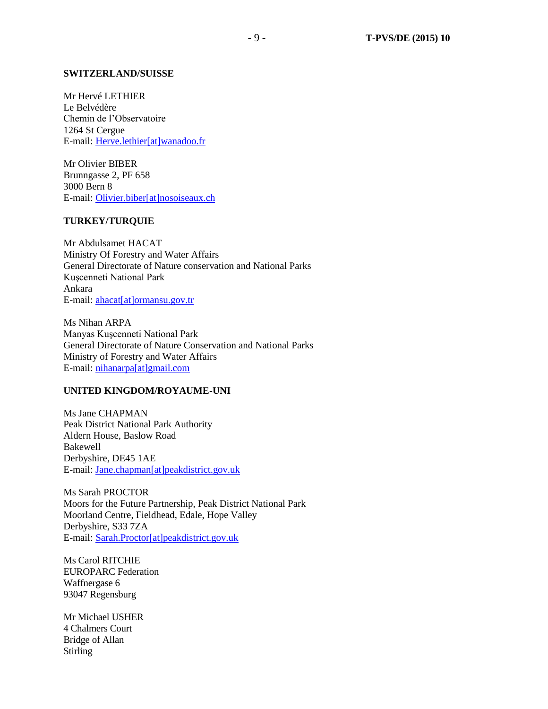#### **SWITZERLAND/SUISSE**

Mr Hervé LETHIER Le Belvédère Chemin de l'Observatoire 1264 St Cergue E-mail: Herve.lethier[at]wanadoo.fr

Mr Olivier BIBER Brunngasse 2, PF 658 3000 Bern 8 E-mail: Olivier.biber[at]nosoiseaux.ch

## **TURKEY/TURQUIE**

Mr Abdulsamet HACAT Ministry Of Forestry and Water Affairs General Directorate of Nature conservation and National Parks Kuşcenneti National Park Ankara E-mail: [ahacat\[at\]ormansu.gov.tr](mailto:ahacat@ormansu.gov.tr)

Ms Nihan ARPA Manyas Kuşcenneti National Park General Directorate of Nature Conservation and National Parks Ministry of Forestry and Water Affairs E-mail: [nihanarpa\[at\]gmail.com](mailto:nihanarpa@gmail.com)

#### **UNITED KINGDOM/ROYAUME-UNI**

Ms Jane CHAPMAN Peak District National Park Authority Aldern House, Baslow Road Bakewell Derbyshire, DE45 1AE E-mail: [Jane.chapman\[at\]peakdistrict.gov.uk](mailto:Jane.chapman@peakdistrict.gov.uk)

Ms Sarah PROCTOR Moors for the Future Partnership, Peak District National Park Moorland Centre, Fieldhead, Edale, Hope Valley Derbyshire, S33 7ZA E-mail: [Sarah.Proctor\[at\]peakdistrict.gov.uk](mailto:Sarah.Proctor@peakdistrict.gov.uk)

Ms Carol RITCHIE EUROPARC Federation Waffnergase 6 93047 Regensburg

Mr Michael USHER 4 Chalmers Court Bridge of Allan Stirling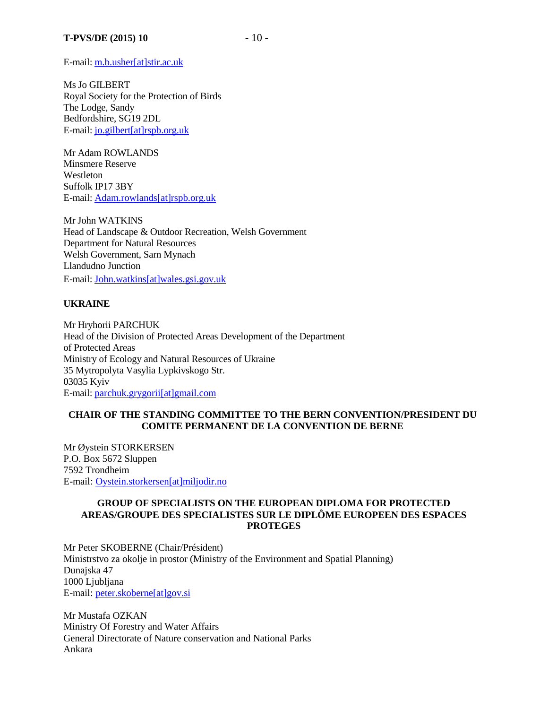E-mail: m.b.usher[at]stir.ac.uk

Ms Jo GILBERT Royal Society for the Protection of Birds The Lodge, Sandy Bedfordshire, SG19 2DL E-mail: jo.gilbert[at]rspb.org.uk

Mr Adam ROWLANDS Minsmere Reserve **Westleton** Suffolk IP17 3BY E-mail: [Adam.rowlands\[at\]rspb.org.uk](mailto:Adam.rowlands@rspb.org.uk)

Mr John WATKINS Head of Landscape & Outdoor Recreation, Welsh Government Department for Natural Resources Welsh Government, Sarn Mynach Llandudno Junction E-mail: [John.watkins\[at\]wales.gsi.gov.uk](mailto:John.watkins@wales.gsi.gov.uk)

## **UKRAINE**

Mr Hryhorii PARCHUK Head of the Division of Protected Areas Development of the Department of Protected Areas Ministry of Ecology and Natural Resources of Ukraine 35 Mytropolyta Vasylia Lypkivskogo Str. 03035 Kyiv E-mail: parchuk.grygorii[at]gmail.com

## **CHAIR OF THE STANDING COMMITTEE TO THE BERN CONVENTION/PRESIDENT DU COMITE PERMANENT DE LA CONVENTION DE BERNE**

Mr Øystein STORKERSEN P.O. Box 5672 Sluppen 7592 Trondheim E-mail: [Oystein.storkersen\[at\]miljodir.no](mailto:Oystein.storkersen@miljodir.no)

## **GROUP OF SPECIALISTS ON THE EUROPEAN DIPLOMA FOR PROTECTED AREAS/GROUPE DES SPECIALISTES SUR LE DIPLÔME EUROPEEN DES ESPACES PROTEGES**

Mr Peter SKOBERNE (Chair/Président) Ministrstvo za okolje in prostor (Ministry of the Environment and Spatial Planning) Dunajska 47 1000 Ljubljana E-mail: peter.skoberne[at]gov.si

Mr Mustafa OZKAN Ministry Of Forestry and Water Affairs General Directorate of Nature conservation and National Parks Ankara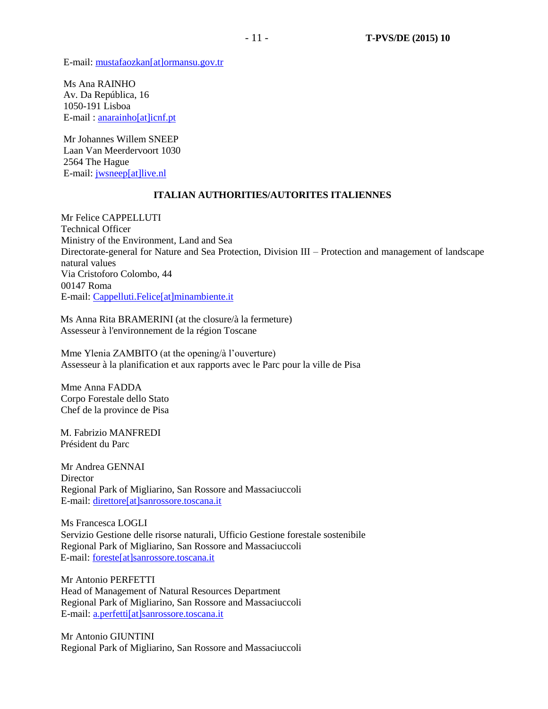E-mail: [mustafaozkan\[at\]ormansu.gov.tr](mailto:mustafaozkan@ormansu.gov.tr)

Ms Ana RAINHO Av. Da República, 16 1050-191 Lisboa E-mail : anarainho[at]icnf.pt

Mr Johannes Willem SNEEP Laan Van Meerdervoort 1030 2564 The Hague E-mail: jwsneep[at]live.nl

#### **ITALIAN AUTHORITIES/AUTORITES ITALIENNES**

Mr Felice CAPPELLUTI Technical Officer Ministry of the Environment, Land and Sea Directorate-general for Nature and Sea Protection, Division III – Protection and management of landscape natural values Via Cristoforo Colombo, 44 00147 Roma E-mail: [Cappelluti.Felice\[at\]minambiente.it](mailto:Cappelluti.Felice@minambiente.it)

Ms Anna Rita BRAMERINI (at the closure/à la fermeture) Assesseur à l'environnement de la région Toscane

Mme Ylenia ZAMBITO (at the opening/à l'ouverture) Assesseur à la planification et aux rapports avec le Parc pour la ville de Pisa

Mme Anna FADDA Corpo Forestale dello Stato Chef de la province de Pisa

M. Fabrizio MANFREDI Président du Parc

Mr Andrea GENNAI **Director** Regional Park of Migliarino, San Rossore and Massaciuccoli E-mail: [direttore\[at\]sanrossore.toscana.it](mailto:direttore@sanrossore.toscana.it)

Ms Francesca LOGLI Servizio Gestione delle risorse naturali, Ufficio Gestione forestale sostenibile Regional Park of Migliarino, San Rossore and Massaciuccoli E-mail: [foreste\[at\]sanrossore.toscana.it](mailto:foreste@sanrossore.toscana.it)

Mr Antonio PERFETTI Head of Management of Natural Resources Department Regional Park of Migliarino, San Rossore and Massaciuccoli E-mail: [a.perfetti\[at\]sanrossore.toscana.it](mailto:a.perfetti@sanrossore.toscana.it)

Mr Antonio GIUNTINI Regional Park of Migliarino, San Rossore and Massaciuccoli